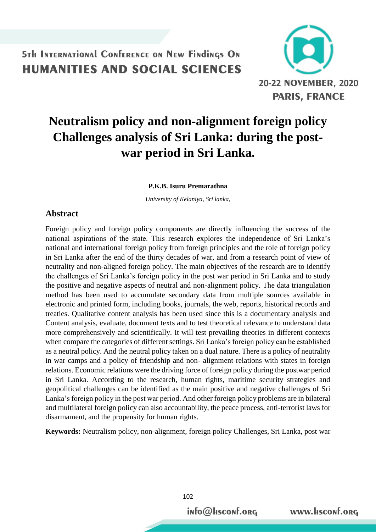

# **Neutralism policy and non-alignment foreign policy Challenges analysis of Sri Lanka: during the postwar period in Sri Lanka.**

**P.K.B. Isuru Premarathna**

*University of Kelaniya, Sri lanka,*

### **Abstract**

Foreign policy and foreign policy components are directly influencing the success of the national aspirations of the state. This research explores the independence of Sri Lanka's national and international foreign policy from foreign principles and the role of foreign policy in Sri Lanka after the end of the thirty decades of war, and from a research point of view of neutrality and non-aligned foreign policy. The main objectives of the research are to identify the challenges of Sri Lanka's foreign policy in the post war period in Sri Lanka and to study the positive and negative aspects of neutral and non-alignment policy. The data triangulation method has been used to accumulate secondary data from multiple sources available in electronic and printed form, including books, journals, the web, reports, historical records and treaties. Qualitative content analysis has been used since this is a documentary analysis and Content analysis, evaluate, document texts and to test theoretical relevance to understand data more comprehensively and scientifically. It will test prevailing theories in different contexts when compare the categories of different settings. Sri Lanka's foreign policy can be established as a neutral policy. And the neutral policy taken on a dual nature. There is a policy of neutrality in war camps and a policy of friendship and non- alignment relations with states in foreign relations. Economic relations were the driving force of foreign policy during the postwar period in Sri Lanka. According to the research, human rights, maritime security strategies and geopolitical challenges can be identified as the main positive and negative challenges of Sri Lanka's foreign policy in the post war period. And other foreign policy problems are in bilateral and multilateral foreign policy can also accountability, the peace process, anti-terrorist laws for disarmament, and the propensity for human rights.

**Keywords:** Neutralism policy, non-alignment, foreign policy Challenges, Sri Lanka, post war

info@Hsconf.org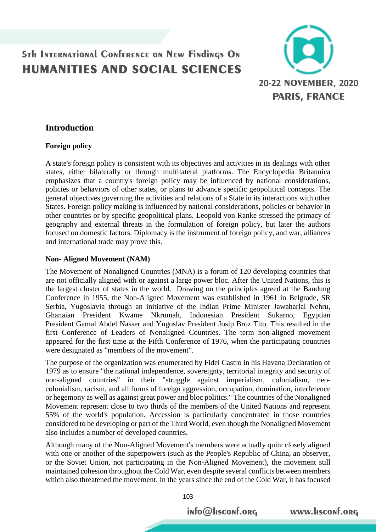

### **Introduction**

#### **Foreign policy**

A state's foreign policy is consistent with its objectives and activities in its dealings with other states, either bilaterally or through multilateral platforms. The Encyclopedia Britannica emphasizes that a country's foreign policy may be influenced by national considerations, policies or behaviors of other states, or plans to advance specific geopolitical concepts. The general objectives governing the activities and relations of a State in its interactions with other States. Foreign policy making is influenced by national considerations, policies or behavior in other countries or by specific geopolitical plans. Leopold von Ranke stressed the primacy of geography and external threats in the formulation of foreign policy, but later the authors focused on domestic factors. Diplomacy is the instrument of foreign policy, and war, alliances and international trade may prove this.

#### **Non- Aligned Movement (NAM)**

The Movement of Nonaligned Countries (MNA) is a forum of 120 developing countries that are not officially aligned with or against a large power bloc. After the United Nations, this is the largest cluster of states in the world. Drawing on the principles agreed at the [Bandung](https://en.wikipedia.org/wiki/Bandung_Conference)  [Conference](https://en.wikipedia.org/wiki/Bandung_Conference) in 1955, the Non-Aligned Movement was established in 1961 in [Belgrade,](https://en.wikipedia.org/wiki/Belgrade) [SR](https://en.wikipedia.org/wiki/SR_Serbia)  [Serbia,](https://en.wikipedia.org/wiki/SR_Serbia) [Yugoslavia](https://en.wikipedia.org/wiki/Socialist_Federal_Republic_of_Yugoslavia) through an initiative of the Indian Prime Minister [Jawaharlal Nehru,](https://en.wikipedia.org/wiki/Jawaharlal_Nehru) Ghanaian President [Kwame Nkrumah,](https://en.wikipedia.org/wiki/Kwame_Nkrumah) Indonesian President [Sukarno,](https://en.wikipedia.org/wiki/Sukarno) Egyptian President [Gamal Abdel Nasser](https://en.wikipedia.org/wiki/Gamal_Abdel_Nasser) and Yugoslav President [Josip Broz Tito.](https://en.wikipedia.org/wiki/Josip_Broz_Tito) This resulted in the first Conference of Leaders of Nonaligned Countries. The term non-aligned movement appeared for the first time at the Fifth Conference of 1976, when the participating countries were designated as "members of the movement".

The purpose of the organization was enumerated by [Fidel Castro](https://en.wikipedia.org/wiki/Fidel_Castro) in his Havana Declaration of 1979 as to ensure "the national independence, sovereignty, territorial integrity and security of non-aligned countries" in their "struggle against [imperialism,](https://en.wikipedia.org/wiki/Imperialism) [colonialism,](https://en.wikipedia.org/wiki/Colonialism) [neo](https://en.wikipedia.org/wiki/Neo-colonialism)[colonialism,](https://en.wikipedia.org/wiki/Neo-colonialism) [racism,](https://en.wikipedia.org/wiki/Racism) and all forms of foreign aggression, [occupation,](https://en.wikipedia.org/wiki/Military_occupation) domination, interference or [hegemony](https://en.wikipedia.org/wiki/Hegemony) as well as against [great power](https://en.wikipedia.org/wiki/Great_power) and bloc politics." The countries of the Nonaligned Movement represent close to two thirds of the members of the United Nations and represent 55% of the world's population. Accession is particularly concentrated in those countries considered to be developing or part of the Third World, even though the Nonaligned Movement also includes a number of developed countries.

Although many of the Non-Aligned Movement's members were actually quite closely aligned with one or another of the [superpowers](https://en.wikipedia.org/wiki/Superpower) (such as the People's Republic of China, an observer, or the Soviet Union, not participating in the Non-Aligned Movement), the movement still maintained cohesion throughout the [Cold War,](https://en.wikipedia.org/wiki/Cold_War) even despite several conflicts between members which also threatened the movement. In the years since the end of the Cold War, it has focused

103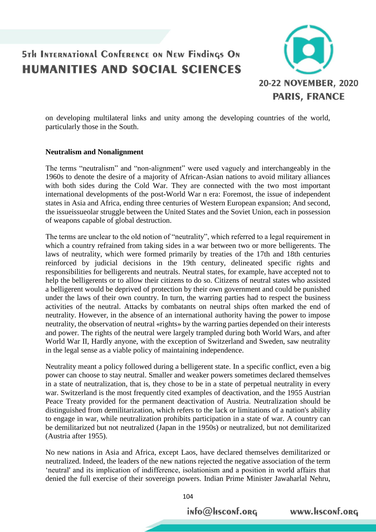

on developing multilateral links and unity among the developing countries of the world, particularly those in the South.

#### **Neutralism and Nonalignment**

The terms "neutralism" and "non-alignment" were used vaguely and interchangeably in the 1960s to denote the desire of a majority of African-Asian nations to avoid military alliances with both sides during the Cold War. They are connected with the two most important international developments of the post-World War n era: Foremost, the issue of independent states in Asia and Africa, ending three centuries of Western European expansion; And second, the issueissueolar struggle between the United States and the Soviet Union, each in possession of weapons capable of global destruction.

The terms are unclear to the old notion of "neutrality", which referred to a legal requirement in which a country refrained from taking sides in a war between two or more belligerents. The laws of neutrality, which were formed primarily by treaties of the 17th and 18th centuries reinforced by judicial decisions in the 19th century, delineated specific rights and responsibilities for belligerents and neutrals. Neutral states, for example, have accepted not to help the belligerents or to allow their citizens to do so. Citizens of neutral states who assisted a belligerent would be deprived of protection by their own government and could be punished under the laws of their own country. In turn, the warring parties had to respect the business activities of the neutral. Attacks by combatants on neutral ships often marked the end of neutrality. However, in the absence of an international authority having the power to impose neutrality, the observation of neutral «rights» by the warring parties depended on their interests and power. The rights of the neutral were largely trampled during both World Wars, and after World War II, Hardly anyone, with the exception of Switzerland and Sweden, saw neutrality in the legal sense as a viable policy of maintaining independence.

Neutrality meant a policy followed during a belligerent state. In a specific conflict, even a big power can choose to stay neutral. Smaller and weaker powers sometimes declared themselves in a state of neutralization, that is, they chose to be in a state of perpetual neutrality in every war. Switzerland is the most frequently cited examples of deactivation, and the 1955 Austrian Peace Treaty provided for the permanent deactivation of Austria. Neutralization should be distinguished from demilitarization, which refers to the lack or limitations of a nation's ability to engage in war, while neutralization prohibits participation in a state of war. A country can be demilitarized but not neutralized (Japan in the 1950s) or neutralized, but not demilitarized (Austria after 1955).

No new nations in Asia and Africa, except Laos, have declared themselves demilitarized or neutralized. Indeed, the leaders of the new nations rejected the negative association of the term 'neutral' and its implication of indifference, isolationism and a position in world affairs that denied the full exercise of their sovereign powers. Indian Prime Minister Jawaharlal Nehru,

104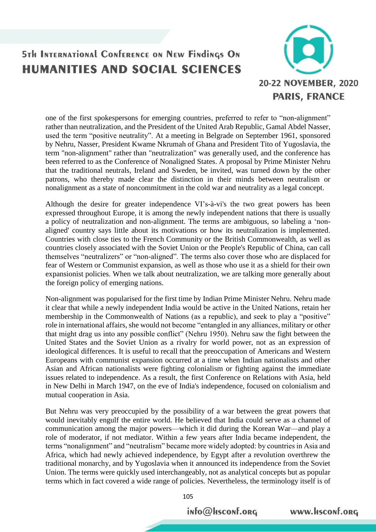

one of the first spokespersons for emerging countries, preferred to refer to "non-alignment" rather than neutralization, and the President of the United Arab Republic, Gamal Abdel Nasser, used the term "positive neutrality". At a meeting in Belgrade on September 1961, sponsored by Nehru, Nasser, President Kwame Nkrumah of Ghana and President Tito of Yugoslavia, the term "non-alignment" rather than "neutralization" was generally used, and the conference has been referred to as the Conference of Nonaligned States. A proposal by Prime Minister Nehru that the traditional neutrals, Ireland and Sweden, be invited, was turned down by the other patrons, who thereby made clear the distinction in their minds between neutralism or nonalignment as a state of noncommitment in the cold war and neutrality as a legal concept.

Although the desire for greater independence VI's-à-vi's the two great powers has been expressed throughout Europe, it is among the newly independent nations that there is usually a policy of neutralization and non-alignment. The terms are ambiguous, so labeling a 'nonaligned' country says little about its motivations or how its neutralization is implemented. Countries with close ties to the French Community or the British Commonwealth, as well as countries closely associated with the Soviet Union or the People's Republic of China, can call themselves "neutralizers" or "non-aligned". The terms also cover those who are displaced for fear of Western or Communist expansion, as well as those who use it as a shield for their own expansionist policies. When we talk about neutralization, we are talking more generally about the foreign policy of emerging nations.

Non-alignment was popularised for the first time by Indian Prime Minister Nehru. Nehru made it clear that while a newly independent India would be active in the [United Nations,](https://www.encyclopedia.com/social-sciences-and-law/political-science-and-government/united-nations/united-nations) retain her membership in the [Commonwealth of Nations](https://www.encyclopedia.com/social-sciences-and-law/political-science-and-government/international-organizations/commonwealth-0) (as a republic), and seek to play a "positive" role in international affairs, she would not become "entangled in any alliances, military or other that might drag us into any possible conflict" (Nehru 1950). Nehru saw the fight between the United States and the Soviet Union as a rivalry for world power, not as an expression of ideological differences. It is useful to recall that the preoccupation of Americans and Western Europeans with communist expansion occurred at a time when Indian nationalists and other Asian and African nationalists were fighting colonialism or fighting against the immediate issues related to independence. As a result, the first Conference on Relations with Asia, held in New Delhi in March 1947, on the eve of India's independence, focused on colonialism and mutual cooperation in Asia.

But Nehru was very preoccupied by the possibility of a war between the great powers that would inevitably engulf the entire world. He believed that India could serve as a channel of communication among the major powers—which it did during the Korean War—and play a role of moderator, if not mediator. Within a few years after India became independent, the terms "nonalignment" and "neutralism" became more widely adopted: by countries in Asia and Africa, which had newly achieved independence, by Egypt after a revolution overthrew the traditional monarchy, and by Yugoslavia when it announced its independence from the Soviet Union. The terms were quickly used interchangeably, not as analytical concepts but as popular terms which in fact covered a wide range of policies. Nevertheless, the terminology itself is of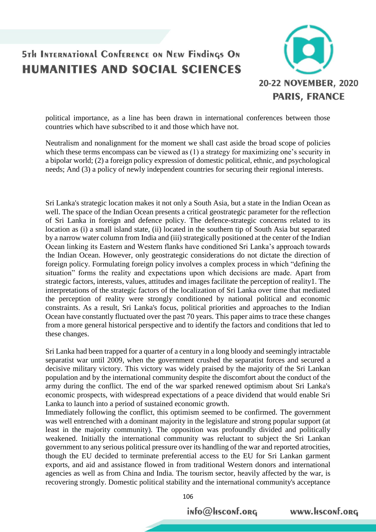

political importance, as a line has been drawn in international conferences between those countries which have subscribed to it and those which have not.

Neutralism and nonalignment for the moment we shall cast aside the broad scope of policies which these terms encompass can be viewed as (1) a strategy for maximizing one's security in a bipolar world; (2) a foreign policy expression of domestic political, ethnic, and psychological needs; And (3) a policy of newly independent countries for securing their regional interests.

Sri Lanka's strategic location makes it not only a South Asia, but a state in the Indian Ocean as well. The space of the Indian Ocean presents a critical geostrategic parameter for the reflection of Sri Lanka in foreign and defence policy. The defence-strategic concerns related to its location as (i) a small island state, (ii) located in the southern tip of South Asia but separated by a narrow water column from India and (iii) strategically positioned at the center of the Indian Ocean linking its Eastern and Western flanks have conditioned Sri Lanka's approach towards the Indian Ocean. However, only geostrategic considerations do not dictate the direction of foreign policy. Formulating foreign policy involves a complex process in which "defining the situation" forms the reality and expectations upon which decisions are made. Apart from strategic factors, interests, values, attitudes and images facilitate the perception of reality1. The interpretations of the strategic factors of the localization of Sri Lanka over time that mediated the perception of reality were strongly conditioned by national political and economic constraints. As a result, Sri Lanka's focus, political priorities and approaches to the Indian Ocean have constantly fluctuated over the past 70 years. This paper aims to trace these changes from a more general historical perspective and to identify the factors and conditions that led to these changes.

Sri Lanka had been trapped for a quarter of a century in a long bloody and seemingly intractable separatist war until 2009, when the government crushed the separatist forces and secured a decisive military victory. This victory was widely praised by the majority of the Sri Lankan population and by the international community despite the discomfort about the conduct of the army during the conflict. The end of the war sparked renewed optimism about Sri Lanka's economic prospects, with widespread expectations of a peace dividend that would enable Sri Lanka to launch into a period of sustained economic growth.

Immediately following the conflict, this optimism seemed to be confirmed. The government was well entrenched with a dominant majority in the legislature and strong popular support (at least in the majority community). The opposition was profoundly divided and politically weakened. Initially the international community was reluctant to subject the Sri Lankan government to any serious political pressure over its handling of the war and reported atrocities, though the EU decided to terminate preferential access to the EU for Sri Lankan garment exports, and aid and assistance flowed in from traditional Western donors and international agencies as well as from China and India. The tourism sector, heavily affected by the war, is recovering strongly. Domestic political stability and the international community's acceptance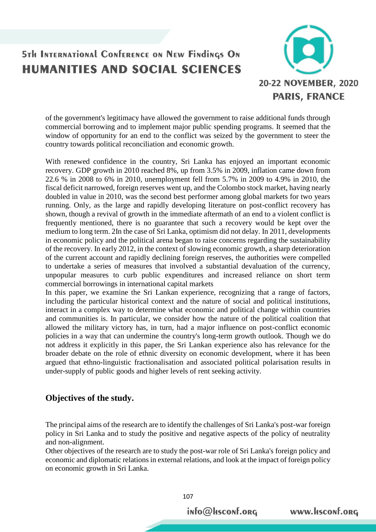

of the government's legitimacy have allowed the government to raise additional funds through commercial borrowing and to implement major public spending programs. It seemed that the window of opportunity for an end to the conflict was seized by the government to steer the country towards political reconciliation and economic growth.

With renewed confidence in the country, Sri Lanka has enjoyed an important economic recovery. GDP growth in 2010 reached 8%, up from 3.5% in 2009, inflation came down from 22.6 % in 2008 to 6% in 2010, unemployment fell from 5.7% in 2009 to 4.9% in 2010, the fiscal deficit narrowed, foreign reserves went up, and the Colombo stock market, having nearly doubled in value in 2010, was the second best performer among global markets for two years running. Only, as the large and rapidly developing literature on post-conflict recovery has shown, though a revival of growth in the immediate aftermath of an end to a violent conflict is frequently mentioned, there is no guarantee that such a recovery would be kept over the medium to long term. 2In the case of Sri Lanka, optimism did not delay. In 2011, developments in economic policy and the political arena began to raise concerns regarding the sustainability of the recovery. In early 2012, in the context of slowing economic growth, a sharp deterioration of the current account and rapidly declining foreign reserves, the authorities were compelled to undertake a series of measures that involved a substantial devaluation of the currency, unpopular measures to curb public expenditures and increased reliance on short term commercial borrowings in international capital markets

In this paper, we examine the Sri Lankan experience, recognizing that a range of factors, including the particular historical context and the nature of social and political institutions, interact in a complex way to determine what economic and political change within countries and communities is. In particular, we consider how the nature of the political coalition that allowed the military victory has, in turn, had a major influence on post-conflict economic policies in a way that can undermine the country's long-term growth outlook. Though we do not address it explicitly in this paper, the Sri Lankan experience also has relevance for the broader debate on the role of ethnic diversity on economic development, where it has been argued that ethno-linguistic fractionalisation and associated political polarisation results in under-supply of public goods and higher levels of rent seeking activity.

### **Objectives of the study.**

The principal aims of the research are to identify the challenges of Sri Lanka's post-war foreign policy in Sri Lanka and to study the positive and negative aspects of the policy of neutrality and non-alignment.

Other objectives of the research are to study the post-war role of Sri Lanka's foreign policy and economic and diplomatic relations in external relations, and look at the impact of foreign policy on economic growth in Sri Lanka.

info@Hsconf.org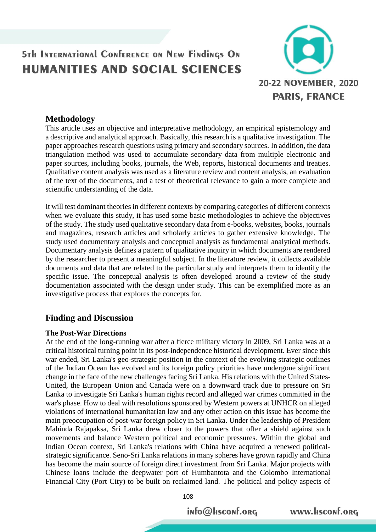

### **Methodology**

This article uses an objective and interpretative methodology, an empirical epistemology and a descriptive and analytical approach. Basically, this research is a qualitative investigation. The paper approaches research questions using primary and secondary sources. In addition, the data triangulation method was used to accumulate secondary data from multiple electronic and paper sources, including books, journals, the Web, reports, historical documents and treaties. Qualitative content analysis was used as a literature review and content analysis, an evaluation of the text of the documents, and a test of theoretical relevance to gain a more complete and scientific understanding of the data.

It will test dominant theories in different contexts by comparing categories of different contexts when we evaluate this study, it has used some basic methodologies to achieve the objectives of the study. The study used qualitative secondary data from e-books, websites, books, journals and magazines, research articles and scholarly articles to gather extensive knowledge. The study used documentary analysis and conceptual analysis as fundamental analytical methods. Documentary analysis defines a pattern of qualitative inquiry in which documents are rendered by the researcher to present a meaningful subject. In the literature review, it collects available documents and data that are related to the particular study and interprets them to identify the specific issue. The conceptual analysis is often developed around a review of the study documentation associated with the design under study. This can be exemplified more as an investigative process that explores the concepts for.

### **Finding and Discussion**

#### **The Post-War Directions**

At the end of the long-running war after a fierce military victory in 2009, Sri Lanka was at a critical historical turning point in its post-independence historical development. Ever since this war ended, Sri Lanka's geo-strategic position in the context of the evolving strategic outlines of the Indian Ocean has evolved and its foreign policy priorities have undergone significant change in the face of the new challenges facing Sri Lanka. His relations with the United States-United, the European Union and Canada were on a downward track due to pressure on Sri Lanka to investigate Sri Lanka's human rights record and alleged war crimes committed in the war's phase. How to deal with resolutions sponsored by Western powers at UNHCR on alleged violations of international humanitarian law and any other action on this issue has become the main preoccupation of post-war foreign policy in Sri Lanka. Under the leadership of President Mahinda Rajapaksa, Sri Lanka drew closer to the powers that offer a shield against such movements and balance Western political and economic pressures. Within the global and Indian Ocean context, Sri Lanka's relations with China have acquired a renewed politicalstrategic significance. Seno-Sri Lanka relations in many spheres have grown rapidly and China has become the main source of foreign direct investment from Sri Lanka. Major projects with Chinese loans include the deepwater port of Humbantota and the Colombo International Financial City (Port City) to be built on reclaimed land. The political and policy aspects of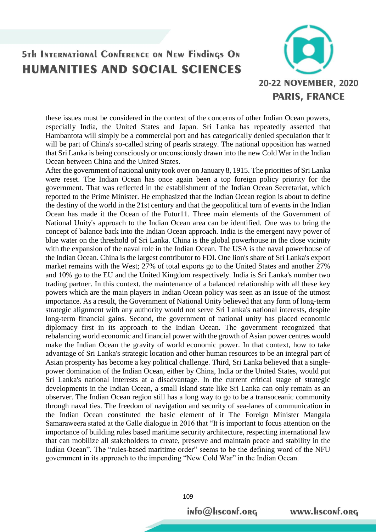

these issues must be considered in the context of the concerns of other Indian Ocean powers, especially India, the United States and Japan. Sri Lanka has repeatedly asserted that Hambantota will simply be a commercial port and has categorically denied speculation that it will be part of China's so-called string of pearls strategy. The national opposition has warned that Sri Lanka is being consciously or unconsciously drawn into the new Cold War in the Indian Ocean between China and the United States.

After the government of national unity took over on January 8, 1915. The priorities of Sri Lanka were reset. The Indian Ocean has once again been a top foreign policy priority for the government. That was reflected in the establishment of the Indian Ocean Secretariat, which reported to the Prime Minister. He emphasized that the Indian Ocean region is about to define the destiny of the world in the 21st century and that the geopolitical turn of events in the Indian Ocean has made it the Ocean of the Futur11. Three main elements of the Government of National Unity's approach to the Indian Ocean area can be identified. One was to bring the concept of balance back into the Indian Ocean approach. India is the emergent navy power of blue water on the threshold of Sri Lanka. China is the global powerhouse in the close vicinity with the expansion of the naval role in the Indian Ocean. The USA is the naval powerhouse of the Indian Ocean. China is the largest contributor to FDI. One lion's share of Sri Lanka's export market remains with the West; 27% of total exports go to the United States and another 27% and 10% go to the EU and the United Kingdom respectively. India is Sri Lanka's number two trading partner. In this context, the maintenance of a balanced relationship with all these key powers which are the main players in Indian Ocean policy was seen as an issue of the utmost importance. As a result, the Government of National Unity believed that any form of long-term strategic alignment with any authority would not serve Sri Lanka's national interests, despite long-term financial gains. Second, the government of national unity has placed economic diplomacy first in its approach to the Indian Ocean. The government recognized that rebalancing world economic and financial power with the growth of Asian power centres would make the Indian Ocean the gravity of world economic power. In that context, how to take advantage of Sri Lanka's strategic location and other human resources to be an integral part of Asian prosperity has become a key political challenge. Third, Sri Lanka believed that a singlepower domination of the Indian Ocean, either by China, India or the United States, would put Sri Lanka's national interests at a disadvantage. In the current critical stage of strategic developments in the Indian Ocean, a small island state like Sri Lanka can only remain as an observer. The Indian Ocean region still has a long way to go to be a transoceanic community through naval ties. The freedom of navigation and security of sea-lanes of communication in the Indian Ocean constituted the basic element of it The Foreign Minister Mangala Samaraweera stated at the Galle dialogue in 2016 that "It is important to focus attention on the importance of building rules based maritime security architecture, respecting international law that can mobilize all stakeholders to create, preserve and maintain peace and stability in the Indian Ocean". The "rules-based maritime order" seems to be the defining word of the NFU government in its approach to the impending "New Cold War" in the Indian Ocean.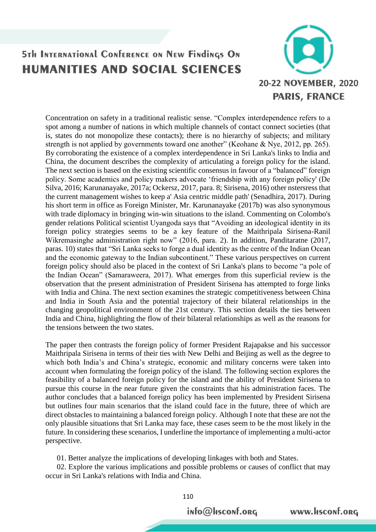

Concentration on safety in a traditional realistic sense. "Complex interdependence refers to a spot among a number of nations in which multiple channels of contact connect societies (that is, states do not monopolize these contacts); there is no hierarchy of subjects; and military strength is not applied by governments toward one another" (Keohane & Nye, 2012, pp. 265). By corroborating the existence of a complex interdependence in Sri Lanka's links to India and China, the document describes the complexity of articulating a foreign policy for the island. The next section is based on the existing scientific consensus in favour of a "balanced" foreign policy. Some academics and policy makers advocate 'friendship with any foreign policy' (De Silva, 2016; Karunanayake, 2017a; Ockersz, 2017, para. 8; Sirisena, 2016) other nstersress that the current management wishes to keep a' Asia centric middle path' (Senadhira, 2017). During his short term in office as Foreign Minister, Mr. Karunanayake (2017b) was also synonymous with trade diplomacy in bringing win-win situations to the island. Commenting on Colombo's gender relations Political scientist Uyangoda says that "Avoiding an ideological identity in its foreign policy strategies seems to be a key feature of the Maithripala Sirisena-Ranil Wikremasinghe administration right now" (2016, para. 2). In addition, Panditaratne (2017, paras. 10) states that "Sri Lanka seeks to forge a dual identity as the centre of the Indian Ocean and the economic gateway to the Indian subcontinent." These various perspectives on current foreign policy should also be placed in the context of Sri Lanka's plans to become "a pole of the Indian Ocean" (Samaraweera, 2017). What emerges from this superficial review is the observation that the present administration of President Sirisena has attempted to forge links with India and China. The next section examines the strategic competitiveness between China and India in South Asia and the potential trajectory of their bilateral relationships in the changing geopolitical environment of the 21st century. This section details the ties between India and China, highlighting the flow of their bilateral relationships as well as the reasons for the tensions between the two states.

The paper then contrasts the foreign policy of former President Rajapakse and his successor Maithripala Sirisena in terms of their ties with New Delhi and Beijing as well as the degree to which both India's and China's strategic, economic and military concerns were taken into account when formulating the foreign policy of the island. The following section explores the feasibility of a balanced foreign policy for the island and the ability of President Sirisena to pursue this course in the near future given the constraints that his administration faces. The author concludes that a balanced foreign policy has been implemented by President Sirisena but outlines four main scenarios that the island could face in the future, three of which are direct obstacles to maintaining a balanced foreign policy. Although I note that these are not the only plausible situations that Sri Lanka may face, these cases seem to be the most likely in the future. In considering these scenarios, I underline the importance of implementing a multi-actor perspective.

01. Better analyze the implications of developing linkages with both and States.

 02. Explore the various implications and possible problems or causes of conflict that may occur in Sri Lanka's relations with India and China.

info@Hsconf.org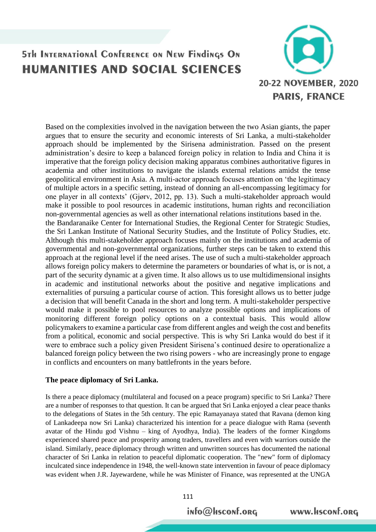

Based on the complexities involved in the navigation between the two Asian giants, the paper argues that to ensure the security and economic interests of Sri Lanka, a multi-stakeholder approach should be implemented by the Sirisena administration. Passed on the present administration's desire to keep a balanced foreign policy in relation to India and China it is imperative that the foreign policy decision making apparatus combines authoritative figures in academia and other institutions to navigate the islands external relations amidst the tense geopolitical environment in Asia. A multi-actor approach focuses attention on 'the legitimacy of multiple actors in a specific setting, instead of donning an all-encompassing legitimacy for one player in all contexts' (Gjørv, 2012, pp. 13). Such a multi-stakeholder approach would make it possible to pool resources in academic institutions, human rights and reconciliation non-governmental agencies as well as other international relations institutions based in the. the Bandaranaike Center for International Studies, the Regional Center for Strategic Studies, the Sri Lankan Institute of National Security Studies, and the Institute of Policy Studies, etc. Although this multi-stakeholder approach focuses mainly on the institutions and academia of governmental and non-governmental organizations, further steps can be taken to extend this approach at the regional level if the need arises. The use of such a multi-stakeholder approach allows foreign policy makers to determine the parameters or boundaries of what is, or is not, a part of the security dynamic at a given time. It also allows us to use multidimensional insights in academic and institutional networks about the positive and negative implications and externalities of pursuing a particular course of action. This foresight allows us to better judge a decision that will benefit Canada in the short and long term. A multi-stakeholder perspective would make it possible to pool resources to analyze possible options and implications of monitoring different foreign policy options on a contextual basis. This would allow policymakers to examine a particular case from different angles and weigh the cost and benefits from a political, economic and social perspective. This is why Sri Lanka would do best if it were to embrace such a policy given President Sirisena's continued desire to operationalize a balanced foreign policy between the two rising powers - who are increasingly prone to engage in conflicts and encounters on many battlefronts in the years before.

#### **The peace diplomacy of Sri Lanka.**

Is there a peace diplomacy (multilateral and focused on a peace program) specific to Sri Lanka? There are a number of responses to that question. It can be argued that Sri Lanka enjoyed a clear peace thanks to the delegations of States in the 5th century. The epic Ramayanaya stated that Ravana (demon king of Lankadeepa now Sri Lanka) characterized his intention for a peace dialogue with Rama (seventh avatar of the Hindu god Vishnu – king of Ayodhya, India). The leaders of the former Kingdoms experienced shared peace and prosperity among traders, travellers and even with warriors outside the island. Similarly, peace diplomacy through written and unwritten sources has documented the national character of Sri Lanka in relation to peaceful diplomatic cooperation. The "new" form of diplomacy inculcated since independence in 1948, the well-known state intervention in favour of peace diplomacy was evident when J.R. Jayewardene, while he was Minister of Finance, was represented at the UNGA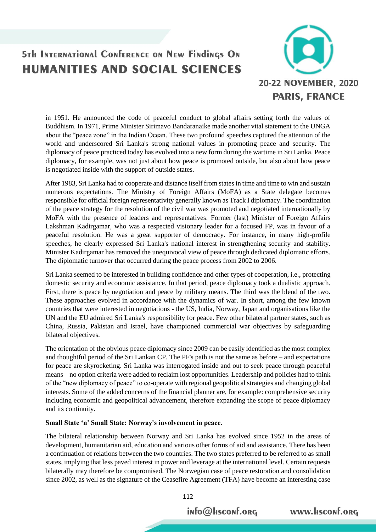

in 1951. He announced the code of peaceful conduct to global affairs setting forth the values of Buddhism. In 1971, Prime Minister Sirimavo Bandaranaike made another vital statement to the UNGA about the "peace zone" in the Indian Ocean. These two profound speeches captured the attention of the world and underscored Sri Lanka's strong national values in promoting peace and security. The diplomacy of peace practiced today has evolved into a new form during the wartime in Sri Lanka. Peace diplomacy, for example, was not just about how peace is promoted outside, but also about how peace is negotiated inside with the support of outside states.

After 1983, Sri Lanka had to cooperate and distance itself from states in time and time to win and sustain numerous expectations. The Ministry of Foreign Affairs (MoFA) as a State delegate becomes responsible for official foreign representativity generally known as Track I diplomacy. The coordination of the peace strategy for the resolution of the civil war was promoted and negotiated internationally by MoFA with the presence of leaders and representatives. Former (last) Minister of Foreign Affairs Lakshman Kadirgamar, who was a respected visionary leader for a focused FP, was in favour of a peaceful resolution. He was a great supporter of democracy. For instance, in many high-profile speeches, he clearly expressed Sri Lanka's national interest in strengthening security and stability. Minister Kadirgamar has removed the unequivocal view of peace through dedicated diplomatic efforts. The diplomatic turnover that occurred during the peace process from 2002 to 2006.

Sri Lanka seemed to be interested in building confidence and other types of cooperation, i.e., protecting domestic security and economic assistance. In that period, peace diplomacy took a dualistic approach. First, there is peace by negotiation and peace by military means. The third was the blend of the two. These approaches evolved in accordance with the dynamics of war. In short, among the few known countries that were interested in negotiations - the US, India, Norway, Japan and organisations like the UN and the EU admired Sri Lanka's responsibility for peace. Few other bilateral partner states, such as China, Russia, Pakistan and Israel, have championed commercial war objectives by safeguarding bilateral objectives.

The orientation of the obvious peace diplomacy since 2009 can be easily identified as the most complex and thoughtful period of the Sri Lankan CP. The PF's path is not the same as before – and expectations for peace are skyrocketing. Sri Lanka was interrogated inside and out to seek peace through peaceful means – no option criteria were added to reclaim lost opportunities. Leadership and policies had to think of the "new diplomacy of peace" to co-operate with regional geopolitical strategies and changing global interests. Some of the added concerns of the financial planner are, for example: comprehensive security including economic and geopolitical advancement, therefore expanding the scope of peace diplomacy and its continuity.

#### **Small State 'n' Small State: Norway's involvement in peace.**

The bilateral relationship between Norway and Sri Lanka has evolved since 1952 in the areas of development, humanitarian aid, education and various other forms of aid and assistance. There has been a continuation of relations between the two countries. The two states preferred to be referred to as small states, implying that less paved interest in power and leverage at the international level. Certain requests bilaterally may therefore be compromised. The Norwegian case of peace restoration and consolidation since 2002, as well as the signature of the Ceasefire Agreement (TFA) have become an interesting case

info@Hsconf.org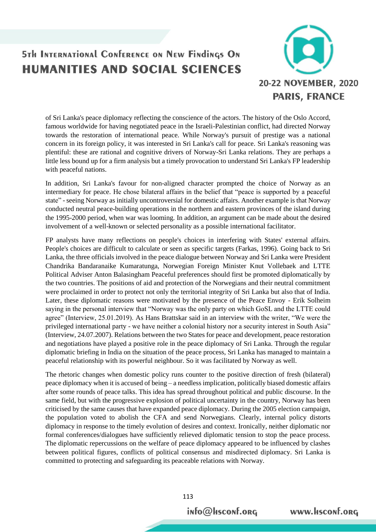

of Sri Lanka's peace diplomacy reflecting the conscience of the actors. The history of the Oslo Accord, famous worldwide for having negotiated peace in the Israeli-Palestinian conflict, had directed Norway towards the restoration of international peace. While Norway's pursuit of prestige was a national concern in its foreign policy, it was interested in Sri Lanka's call for peace. Sri Lanka's reasoning was plentiful: these are rational and cognitive drivers of Norway-Sri Lanka relations. They are perhaps a little less bound up for a firm analysis but a timely provocation to understand Sri Lanka's FP leadership with peaceful nations.

In addition, Sri Lanka's favour for non-aligned character prompted the choice of Norway as an intermediary for peace. He chose bilateral affairs in the belief that "peace is supported by a peaceful state" - seeing Norway as initially uncontroversial for domestic affairs. Another example is that Norway conducted neutral peace-building operations in the northern and eastern provinces of the island during the 1995-2000 period, when war was looming. In addition, an argument can be made about the desired involvement of a well-known or selected personality as a possible international facilitator.

FP analysts have many reflections on people's choices in interfering with States' external affairs. People's choices are difficult to calculate or seen as specific targets (Farkas, 1996). Going back to Sri Lanka, the three officials involved in the peace dialogue between Norway and Sri Lanka were President Chandrika Bandaranaike Kumaratunga, Norwegian Foreign Minister Knut Vollebaek and LTTE Political Adviser Anton Balasingham Peaceful preferences should first be promoted diplomatically by the two countries. The positions of aid and protection of the Norwegians and their neutral commitment were proclaimed in order to protect not only the territorial integrity of Sri Lanka but also that of India. Later, these diplomatic reasons were motivated by the presence of the Peace Envoy - Erik Solheim saying in the personal interview that "Norway was the only party on which GoSL and the LTTE could agree" (Interview, 25.01.2019). As Hans Brattskar said in an interview with the writer, "We were the privileged international party - we have neither a colonial history nor a security interest in South Asia" (Interview, 24.07.2007). Relations between the two States for peace and development, peace restoration and negotiations have played a positive role in the peace diplomacy of Sri Lanka. Through the regular diplomatic briefing in India on the situation of the peace process, Sri Lanka has managed to maintain a peaceful relationship with its powerful neighbour. So it was facilitated by Norway as well.

The rhetoric changes when domestic policy runs counter to the positive direction of fresh (bilateral) peace diplomacy when it is accused of being – a needless implication, politically biased domestic affairs after some rounds of peace talks. This idea has spread throughout political and public discourse. In the same field, but with the progressive explosion of political uncertainty in the country, Norway has been criticised by the same causes that have expanded peace diplomacy. During the 2005 election campaign, the population voted to abolish the CFA and send Norwegians. Clearly, internal policy distorts diplomacy in response to the timely evolution of desires and context. Ironically, neither diplomatic nor formal conferences/dialogues have sufficiently relieved diplomatic tension to stop the peace process. The diplomatic repercussions on the welfare of peace diplomacy appeared to be influenced by clashes between political figures, conflicts of political consensus and misdirected diplomacy. Sri Lanka is committed to protecting and safeguarding its peaceable relations with Norway.

info@Hsconf.org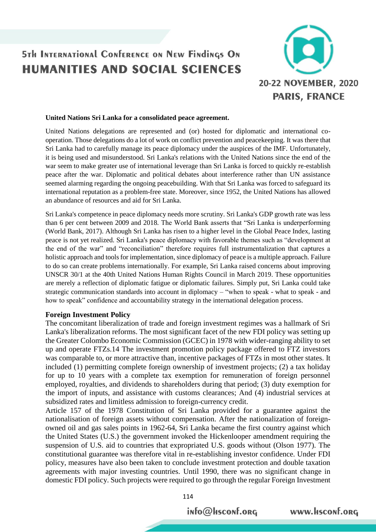

#### **United Nations Sri Lanka for a consolidated peace agreement.**

United Nations delegations are represented and (or) hosted for diplomatic and international cooperation. Those delegations do a lot of work on conflict prevention and peacekeeping. It was there that Sri Lanka had to carefully manage its peace diplomacy under the auspices of the IMF. Unfortunately, it is being used and misunderstood. Sri Lanka's relations with the United Nations since the end of the war seem to make greater use of international leverage than Sri Lanka is forced to quickly re-establish peace after the war. Diplomatic and political debates about interference rather than UN assistance seemed alarming regarding the ongoing peacebuilding. With that Sri Lanka was forced to safeguard its international reputation as a problem-free state. Moreover, since 1952, the United Nations has allowed an abundance of resources and aid for Sri Lanka.

Sri Lanka's competence in peace diplomacy needs more scrutiny. Sri Lanka's GDP growth rate was less than 6 per cent between 2009 and 2018. The World Bank asserts that "Sri Lanka is underperforming (World Bank, 2017). Although Sri Lanka has risen to a higher level in the Global Peace Index, lasting peace is not yet realized. Sri Lanka's peace diplomacy with favorable themes such as "development at the end of the war" and "reconciliation" therefore requires full instrumentalization that captures a holistic approach and tools for implementation, since diplomacy of peace is a multiple approach. Failure to do so can create problems internationally. For example, Sri Lanka raised concerns about improving UNSCR 30/1 at the 40th United Nations Human Rights Council in March 2019. These opportunities are merely a reflection of diplomatic fatigue or diplomatic failures. Simply put, Sri Lanka could take strategic communication standards into account in diplomacy – "when to speak - what to speak - and how to speak" confidence and accountability strategy in the international delegation process.

#### **Foreign Investment Policy**

The concomitant liberalization of trade and foreign investment regimes was a hallmark of Sri Lanka's liberalization reforms. The most significant facet of the new FDI policy was setting up the Greater Colombo Economic Commission (GCEC) in 1978 with wider-ranging ability to set up and operate FTZs.14 The investment promotion policy package offered to FTZ investors was comparable to, or more attractive than, incentive packages of FTZs in most other states. It included (1) permitting complete foreign ownership of investment projects; (2) a tax holiday for up to 10 years with a complete tax exemption for remuneration of foreign personnel employed, royalties, and dividends to shareholders during that period; (3) duty exemption for the import of inputs, and assistance with customs clearances; And (4) industrial services at subsidized rates and limitless admission to foreign-currency credit.

Article 157 of the 1978 Constitution of Sri Lanka provided for a guarantee against the nationalisation of foreign assets without compensation. After the nationalization of foreignowned oil and gas sales points in 1962-64, Sri Lanka became the first country against which the United States (U.S.) the government invoked the Hickenlooper amendment requiring the suspension of U.S. aid to countries that expropriated U.S. goods without (Olson 1977). The constitutional guarantee was therefore vital in re-establishing investor confidence. Under FDI policy, measures have also been taken to conclude investment protection and double taxation agreements with major investing countries. Until 1990, there was no significant change in domestic FDI policy. Such projects were required to go through the regular Foreign Investment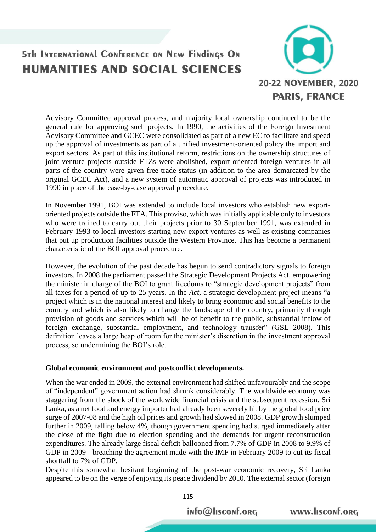

Advisory Committee approval process, and majority local ownership continued to be the general rule for approving such projects. In 1990, the activities of the Foreign Investment Advisory Committee and GCEC were consolidated as part of a new EC to facilitate and speed up the approval of investments as part of a unified investment-oriented policy the import and export sectors. As part of this institutional reform, restrictions on the ownership structures of joint-venture projects outside FTZs were abolished, export-oriented foreign ventures in all parts of the country were given free-trade status (in addition to the area demarcated by the original GCEC Act), and a new system of automatic approval of projects was introduced in 1990 in place of the case-by-case approval procedure.

In November 1991, BOI was extended to include local investors who establish new exportoriented projects outside the FTA. This proviso, which was initially applicable only to investors who were trained to carry out their projects prior to 30 September 1991, was extended in February 1993 to local investors starting new export ventures as well as existing companies that put up production facilities outside the Western Province. This has become a permanent characteristic of the BOI approval procedure.

However, the evolution of the past decade has begun to send contradictory signals to foreign investors. In 2008 the parliament passed the Strategic Development Projects Act, empowering the minister in charge of the BOI to grant freedoms to "strategic development projects" from all taxes for a period of up to 25 years. In the *Act*, a strategic development project means "a project which is in the national interest and likely to bring economic and social benefits to the country and which is also likely to change the landscape of the country, primarily through provision of goods and services which will be of benefit to the public, substantial inflow of foreign exchange, substantial employment, and technology transfer" (GSL 2008). This definition leaves a large heap of room for the minister's discretion in the investment approval process, so undermining the BOI's role.

#### **Global economic environment and postconflict developments.**

When the war ended in 2009, the external environment had shifted unfavourably and the scope of "independent" government action had shrunk considerably. The worldwide economy was staggering from the shock of the worldwide financial crisis and the subsequent recession. Sri Lanka, as a net food and energy importer had already been severely hit by the global food price surge of 2007-08 and the high oil prices and growth had slowed in 2008. GDP growth slumped further in 2009, falling below 4%, though government spending had surged immediately after the close of the fight due to election spending and the demands for urgent reconstruction expenditures. The already large fiscal deficit ballooned from 7.7% of GDP in 2008 to 9.9% of GDP in 2009 - breaching the agreement made with the IMF in February 2009 to cut its fiscal shortfall to 7% of GDP.

Despite this somewhat hesitant beginning of the post-war economic recovery, Sri Lanka appeared to be on the verge of enjoying its peace dividend by 2010. The external sector (foreign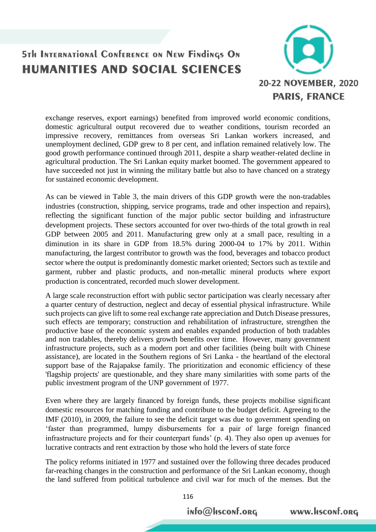

exchange reserves, export earnings) benefited from improved world economic conditions, domestic agricultural output recovered due to weather conditions, tourism recorded an impressive recovery, remittances from overseas Sri Lankan workers increased, and unemployment declined, GDP grew to 8 per cent, and inflation remained relatively low. The good growth performance continued through 2011, despite a sharp weather-related decline in agricultural production. The Sri Lankan equity market boomed. The government appeared to have succeeded not just in winning the military battle but also to have chanced on a strategy for sustained economic development.

As can be viewed in Table 3, the main drivers of this GDP growth were the non-tradables industries (construction, shipping, service programs, trade and other inspection and repairs), reflecting the significant function of the major public sector building and infrastructure development projects. These sectors accounted for over two-thirds of the total growth in real GDP between 2005 and 2011. Manufacturing grew only at a small pace, resulting in a diminution in its share in GDP from 18.5% during 2000-04 to 17% by 2011. Within manufacturing, the largest contributor to growth was the food, beverages and tobacco product sector where the output is predominantly domestic market oriented; Sectors such as textile and garment, rubber and plastic products, and non-metallic mineral products where export production is concentrated, recorded much slower development.

A large scale reconstruction effort with public sector participation was clearly necessary after a quarter century of destruction, neglect and decay of essential physical infrastructure. While such projects can give lift to some real exchange rate appreciation and Dutch Disease pressures, such effects are temporary; construction and rehabilitation of infrastructure, strengthen the productive base of the economic system and enables expanded production of both tradables and non tradables, thereby delivers growth benefits over time. However, many government infrastructure projects, such as a modern port and other facilities (being built with Chinese assistance), are located in the Southern regions of Sri Lanka - the heartland of the electoral support base of the Rajapakse family. The prioritization and economic efficiency of these 'flagship projects' are questionable, and they share many similarities with some parts of the public investment program of the UNP government of 1977.

Even where they are largely financed by foreign funds, these projects mobilise significant domestic resources for matching funding and contribute to the budget deficit. Agreeing to the IMF (2010), in 2009, the failure to see the deficit target was due to government spending on 'faster than programmed, lumpy disbursements for a pair of large foreign financed infrastructure projects and for their counterpart funds' (p. 4). They also open up avenues for lucrative contracts and rent extraction by those who hold the levers of state force

The policy reforms initiated in 1977 and sustained over the following three decades produced far-reaching changes in the construction and performance of the Sri Lankan economy, though the land suffered from political turbulence and civil war for much of the menses. But the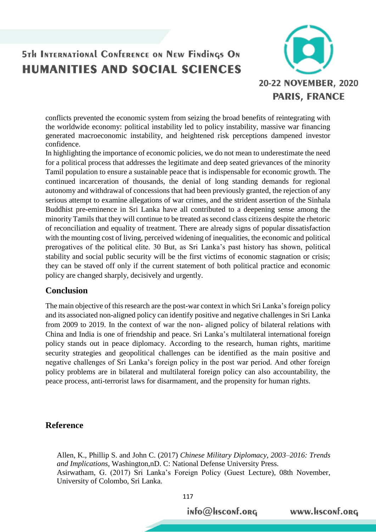

conflicts prevented the economic system from seizing the broad benefits of reintegrating with the worldwide economy: political instability led to policy instability, massive war financing generated macroeconomic instability, and heightened risk perceptions dampened investor confidence.

In highlighting the importance of economic policies, we do not mean to underestimate the need for a political process that addresses the legitimate and deep seated grievances of the minority Tamil population to ensure a sustainable peace that is indispensable for economic growth. The continued incarceration of thousands, the denial of long standing demands for regional autonomy and withdrawal of concessions that had been previously granted, the rejection of any serious attempt to examine allegations of war crimes, and the strident assertion of the Sinhala Buddhist pre-eminence in Sri Lanka have all contributed to a deepening sense among the minority Tamils that they will continue to be treated as second class citizens despite the rhetoric of reconciliation and equality of treatment. There are already signs of popular dissatisfaction with the mounting cost of living, perceived widening of inequalities, the economic and political prerogatives of the political elite. 30 But, as Sri Lanka's past history has shown, political stability and social public security will be the first victims of economic stagnation or crisis; they can be staved off only if the current statement of both political practice and economic policy are changed sharply, decisively and urgently.

### **Conclusion**

The main objective of this research are the post-war context in which Sri Lanka's foreign policy and its associated non-aligned policy can identify positive and negative challenges in Sri Lanka from 2009 to 2019. In the context of war the non- aligned policy of bilateral relations with China and India is one of friendship and peace. Sri Lanka's multilateral international foreign policy stands out in peace diplomacy. According to the research, human rights, maritime security strategies and geopolitical challenges can be identified as the main positive and negative challenges of Sri Lanka's foreign policy in the post war period. And other foreign policy problems are in bilateral and multilateral foreign policy can also accountability, the peace process, anti-terrorist laws for disarmament, and the propensity for human rights.

#### **Reference**

Allen, K., Phillip S. and John C. (2017) *Chinese Military Diplomacy, 2003–2016: Trends and Implications,* Washington,nD. C: National Defense University Press. Asirwatham, G. (2017) Sri Lanka's Foreign Policy (Guest Lecture), 08th November, University of Colombo, Sri Lanka.

info@Hsconf.org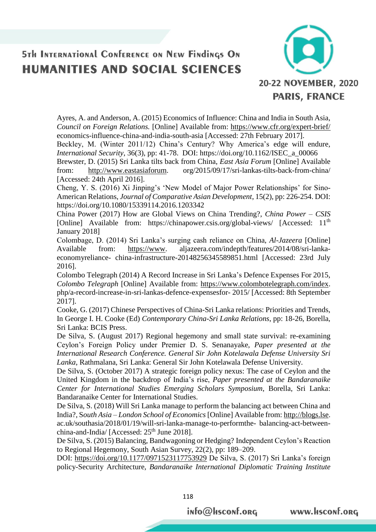

Ayres, A. and Anderson, A. (2015) Economics of Influence: China and India in South Asia, *Council on Foreign Relations.* [Online] Available from:<https://www.cfr.org/expert-brief/> economics-influence-china-and-india-south-asia [Accessed: 27th February 2017].

Beckley, M. (Winter 2011/12) China's Century? Why America's edge will endure, *International Security*, 36(3), pp: 41-78. DOI: https://doi.org/10.1162/ISEC\_a\_00066

Brewster, D. (2015) Sri Lanka tilts back from China, *East Asia Forum* [Online] Available from: [http://www.eastasiaforum.](http://www.eastasiaforum/) org/2015/09/17/sri-lankas-tilts-back-from-china/ [Accessed: 24th April 2016].

Cheng, Y. S. (2016) Xi Jinping's 'New Model of Major Power Relationships' for Sino-American Relations, *Journal of Comparative Asian Development*, 15(2), pp: 226-254. DOI: https://doi.org/10.1080/15339114.2016.1203342

China Power (2017) How are Global Views on China Trending?, *China Power – CSIS*  [Online] Available from: https://chinapower.csis.org/global-views/ [Accessed: 11<sup>th</sup>] January 2018]

Colombage, D. (2014) Sri Lanka's surging cash reliance on China, *Al-Jazeera* [Online] Available from: [https://www.](https://www/) aljazeera.com/indepth/features/2014/08/sri-lankaeconomyreliance- china-infrastructure-20148256345589851.html [Accessed: 23rd July 2016].

Colombo Telegraph (2014) A Record Increase in Sri Lanka's Defence Expenses For 2015, *Colombo Telegraph* [Online] Available from: [https://www.colombotelegraph.com/index.](https://www.colombotelegraph.com/index) php/a-record-increase-in-sri-lankas-defence-expensesfor- 2015/ [Accessed: 8th September 2017].

Cooke, G. (2017) Chinese Perspectives of China-Sri Lanka relations: Priorities and Trends, In George I. H. Cooke (Ed) *Contemporary China-Sri Lanka Relations*, pp: 18-26, Borella, Sri Lanka: BCIS Press.

De Silva, S. (August 2017) Regional hegemony and small state survival: re-examining Ceylon's Foreign Policy under Premier D. S. Senanayake, *Paper presented at the International Research Conference. General Sir John Kotelawala Defense University Sri Lanka*, Rathmalana, Sri Lanka: General Sir John Kotelawala Defense University.

De Silva, S. (October 2017) A strategic foreign policy nexus: The case of Ceylon and the United Kingdom in the backdrop of India's rise, *Paper presented at the Bandaranaike Center for International Studies Emerging Scholars Symposium*, Borella, Sri Lanka: Bandaranaike Center for International Studies.

De Silva, S. (2018) Will Sri Lanka manage to perform the balancing act between China and India?, S*outh Asia – London School of Economics* [Online] Available from[: http://blogs.lse.](http://blogs.lse/) ac.uk/southasia/2018/01/19/will-sri-lanka-manage-to-performthe- balancing-act-betweenchina-and-India/ [Accessed:  $25<sup>th</sup>$  June 2018].

De Silva, S. (2015) Balancing, Bandwagoning or Hedging? Independent Ceylon's Reaction to Regional Hegemony, South Asian Survey, 22(2), pp: 189–209.

DOI:<https://doi.org/10.1177/0971523117753929> De Silva, S. (2017) Sri Lanka's foreign policy-Security Architecture, *Bandaranaike International Diplomatic Training Institute* 

info@Hsconf.org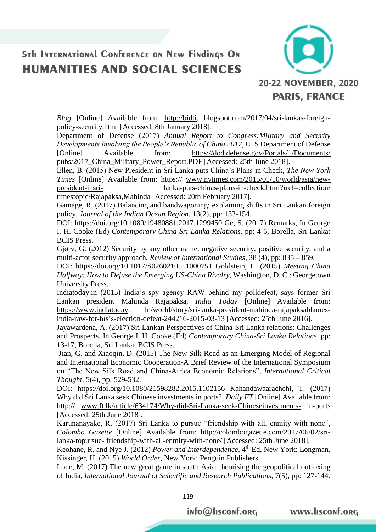

*Blog* [Online] Available from: [http://bidti.](http://bidti/) blogspot.com/2017/04/sri-lankas-foreignpolicy-security.html [Accessed: 8th January 2018].

Department of Defense (2017) *Annual Report to Congress:Military and Security Developments Involving the People's Republic of China 2017,* U. S Department of Defense [Online] Available from: <https://dod.defense.gov/Portals/1/Documents/> pubs/2017\_China\_Military\_Power\_Report.PDF [Accessed: 25th June 2018].

Ellen, B. (2015) New President in Sri Lanka puts China's Plans in Check, *The New York Times* [Online] Available from: https:// [www.nytimes.com/2015/01/10/world/asia/new](http://www.nytimes.com/2015/01/10/world/asia/new-president-insri-)[president-insri-](http://www.nytimes.com/2015/01/10/world/asia/new-president-insri-) lanka-puts-chinas-plans-in-check.html?rref=collection/ timestopic/Rajapaksa,Mahinda [Accessed: 20th February 2017].

Gamage, R. (2017) Balancing and bandwagoning: explaining shifts in Sri Lankan foreign policy, *Journal of the Indian Ocean Region*, 13(2), pp: 133-154.

DOI:<https://doi.org/10.1080/19480881.2017.1299450> Ge, S. (2017) Remarks, In George I. H. Cooke (Ed) *Contemporary China-Sri Lanka Relations*, pp: 4-6, Borella, Sri Lanka: BCIS Press.

Gjørv, G. (2012) Security by any other name: negative security, positive security, and a multi-actor security approach, *Review of International Studies*, 38 (4), pp: 835 – 859.

DOI: <https://doi.org/10.1017/S0260210511000751> Goldstein, L. (2015) *Meeting China Halfway: How to Defuse the Emerging US-China Rivalry*, Washington, D. C.: Georgetown University Press.

Indiatoday.in (2015) India's spy agency RAW behind my polldefeat, says former Sri Lankan president Mahinda Rajapaksa, *India Today* [Online] Available from: [https://www.indiatoday.](https://www.indiatoday/) In/world/story/sri-lanka-president-mahinda-rajapaksablamesindia-raw-for-his's-election-defeat-244216-2015-03-13 [Accessed: 25th June 2016].

Jayawardena, A. (2017) Sri Lankan Perspectives of China-Sri Lanka relations: Challenges and Prospects, In George I. H. Cooke (Ed) *Contemporary China-Sri Lanka Relations*, pp: 13-17, Borella, Sri Lanka: BCIS Press.

Jian, G. and Xiaoqin, D. (2015) The New Silk Road as an Emerging Model of Regional and International Economic Cooperation-A Brief Review of the International Symposium on "The New Silk Road and China-Africa Economic Relations", *International Critical Thought*, 5(4), pp: 529-532.

DOI: <https://doi.org/10.1080/21598282.2015.1102156> Kahandawaarachchi, T. (2017) Why did Sri Lanka seek Chinese investments in ports?, *Daily FT* [Online] Available from: http:// [www.ft.lk/article/634174/Why-did-Sri-Lanka-seek-Chineseinvestments-](http://www.ft.lk/article/634174/Why-did-Sri-Lanka-seek-Chineseinvestments-) in-ports [Accessed: 25th June 2018].

Karunanayake, R. (2017) Sri Lanka to pursue "friendship with all, enmity with none", *Colombo Gazette* [Online] Available from: [http://colombogazette.com/2017/06/02/sri](http://colombogazette.com/2017/06/02/sri-lanka-topursue-)[lanka-topursue-](http://colombogazette.com/2017/06/02/sri-lanka-topursue-) friendship-with-all-enmity-with-none/ [Accessed: 25th June 2018].

Keohane, R. and Nye J. (2012) *Power and Interdependence*, 4<sup>th</sup> Ed, New York: Longman. Kissinger, H. (2015) *World Order,* New York: Penguin Publishers.

Lone, M. (2017) The new great game in south Asia: theorising the geopolitical outfoxing of India, *International Journal of Scientific and Research Publications,* 7(5), pp: 127-144.

info@Hsconf.org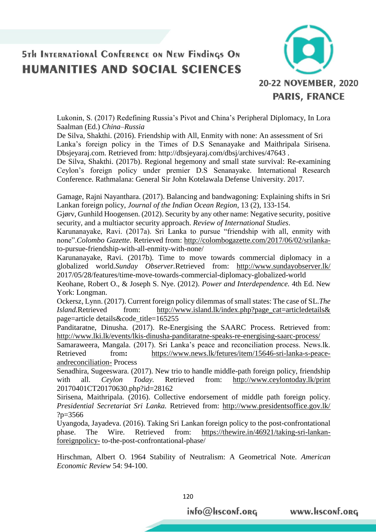

Lukonin, S. (2017) Redefining Russia's Pivot and China's Peripheral Diplomacy, In Lora Saalman (Ed.) *China–Russia*

De Silva, Shakthi. (2016). Friendship with All, Enmity with none: An assessment of Sri Lanka's foreign policy in the Times of D.S Senanayake and Maithripala Sirisena. Dbsjeyaraj.com. Retrieved from: http://dbsjeyaraj.com/dbsj/archives/47643 .

De Silva, Shakthi. (2017b). Regional hegemony and small state survival: Re-examining Ceylon's foreign policy under premier D.S Senanayake. International Research Conference. Rathmalana: General Sir John Kotelawala Defense University. 2017.

Gamage, Rajni Nayanthara. (2017). Balancing and bandwagoning: Explaining shifts in Sri Lankan foreign policy, *Journal of the Indian Ocean Region*, 13 (2), 133-154.

Gjørv, Gunhild Hoogensen. (2012). Security by any other name: Negative security, positive security, and a multiactor security approach. *Review of International Studies*.

Karunanayake, Ravi. (2017a). Sri Lanka to pursue "friendship with all, enmity with none".*Colombo Gazette*. Retrieved from: [http://colombogazette.com/2017/06/02/srilanka](http://colombogazette.com/2017/06/02/srilanka-)to-pursue-friendship-with-all-enmity-with-none/

Karunanayake, Ravi. (2017b). Time to move towards commercial diplomacy in a globalized world.*Sunday Observer.*Retrieved from: <http://www.sundayobserver.lk/> 2017/05/28/features/time-move-towards-commercial-diplomacy-globalized-world

Keohane, Robert O., & Joseph S. Nye. (2012). *Power and Interdependence.* 4th Ed. New York: Longman.

Ockersz, Lynn. (2017). Current foreign policy dilemmas of small states: The case of SL.*The Island.*Retrieved from: [http://www.island.lk/index.php?page\\_cat=articledetails&](http://www.island.lk/index.php?page_cat=articledetails&) page=article details&code\_title=165255

Panditaratne, Dinusha. (2017). Re-Energising the SAARC Process. Retrieved from: <http://www.lki.lk/events/lkis-dinusha-panditaratne-speaks-re-energising-saarc-process/>

Samaraweera, Mangala. (2017). Sri Lanka's peace and reconciliation process. News.lk. Retrieved from: [https://www.news.lk/fetures/item/15646-sri-lanka-s-peace](https://www.news.lk/fetures/item/15646-sri-lanka-s-peace-andreconciliation-)[andreconciliation-](https://www.news.lk/fetures/item/15646-sri-lanka-s-peace-andreconciliation-) Process

Senadhira, Sugeeswara. (2017). New trio to handle middle-path foreign policy, friendship with all. *Ceylon Today*. Retrieved from: <http://www.ceylontoday.lk/print> 20170401CT20170630.php?id=28162

Sirisena, Maithripala. (2016). Collective endorsement of middle path foreign policy. *Presidential Secretariat Sri Lanka.* Retrieved from:<http://www.presidentsoffice.gov.lk/> ?p=3566

Uyangoda, Jayadeva. (2016). Taking Sri Lankan foreign policy to the post-confrontational phase. The Wire. Retrieved from: [https://thewire.in/46921/taking-sri-lankan](https://thewire.in/46921/taking-sri-lankan-foreignpolicy-)[foreignpolicy-](https://thewire.in/46921/taking-sri-lankan-foreignpolicy-) to-the-post-confrontational-phase/

Hirschman, Albert O. 1964 Stability of Neutralism: A Geometrical Note. *American Economic Review* 54: 94-100.

info@Hsconf.org